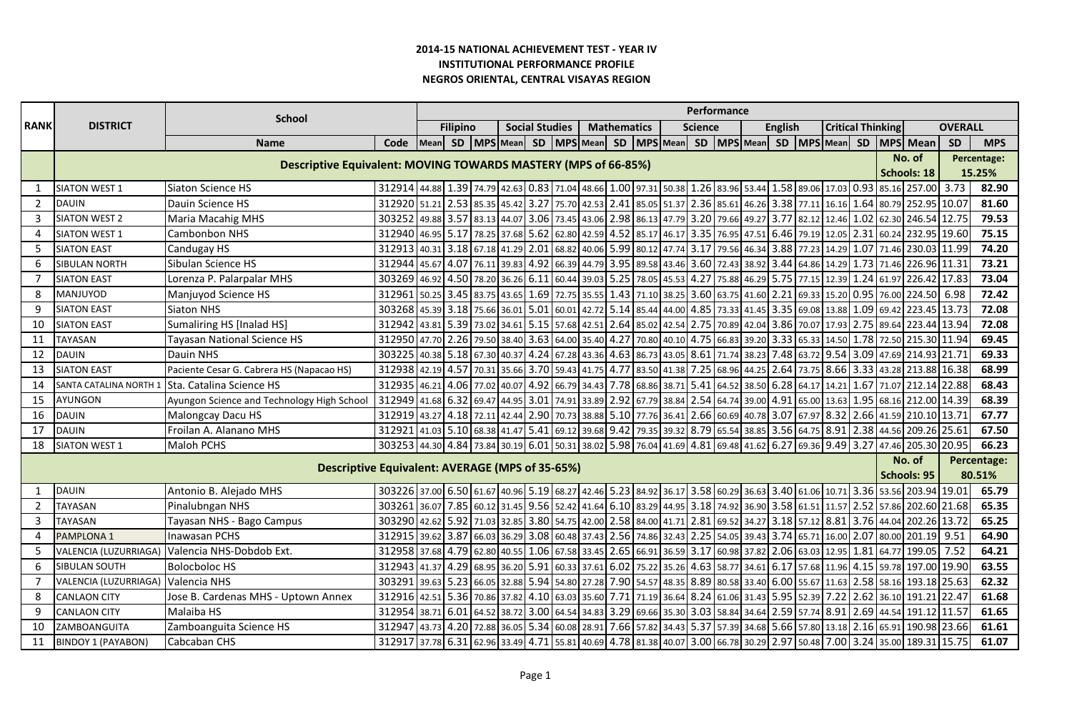|                 |                                                                |                                                 |                                                                                                                           |                  |                 |                  |       |                       |                         |  |                    |  |                                                                                                                                     | Performance    |  |  |                |             |                          |            |        |                                                                                                                          |                |             |
|-----------------|----------------------------------------------------------------|-------------------------------------------------|---------------------------------------------------------------------------------------------------------------------------|------------------|-----------------|------------------|-------|-----------------------|-------------------------|--|--------------------|--|-------------------------------------------------------------------------------------------------------------------------------------|----------------|--|--|----------------|-------------|--------------------------|------------|--------|--------------------------------------------------------------------------------------------------------------------------|----------------|-------------|
| <b>RANK</b>     | <b>DISTRICT</b>                                                | <b>School</b>                                   |                                                                                                                           |                  | <b>Filipino</b> |                  |       | <b>Social Studies</b> |                         |  | <b>Mathematics</b> |  |                                                                                                                                     | <b>Science</b> |  |  | <b>English</b> |             | <b>Critical Thinking</b> |            |        |                                                                                                                          | <b>OVERALL</b> |             |
|                 |                                                                | <b>Name</b>                                     | Code                                                                                                                      | Mean             |                 |                  |       |                       |                         |  |                    |  | SD   MPS   Mean   SD   MPS   Mean   SD   MPS   Mean   SD   MPS   Mean                                                               |                |  |  |                |             |                          |            |        | SD   MPS   Mean   SD   MPS   Mean                                                                                        | <b>SD</b>      | <b>MPS</b>  |
|                 | Descriptive Equivalent: MOVING TOWARDS MASTERY (MPS of 66-85%) |                                                 |                                                                                                                           |                  |                 |                  |       |                       |                         |  |                    |  |                                                                                                                                     |                |  |  | No. of         | Percentage: |                          |            |        |                                                                                                                          |                |             |
|                 |                                                                |                                                 |                                                                                                                           |                  |                 |                  |       |                       |                         |  |                    |  |                                                                                                                                     |                |  |  |                |             | Schools: 18              |            | 15.25% |                                                                                                                          |                |             |
| $\mathbf{1}$    | <b>SIATON WEST 1</b>                                           | Siaton Science HS                               | 312914 44.88 1.39 74.79 42.63 0.83 71.04 48.66 1.00 97.31 50.38 1.26 83.96 53.44 1.58 89.06 17.03 0.93 85.16 257.00 3.73  |                  |                 |                  |       |                       |                         |  |                    |  |                                                                                                                                     |                |  |  |                |             |                          |            |        |                                                                                                                          |                | 82.90       |
| $\overline{2}$  | <b>DAUIN</b>                                                   | Dauin Science HS                                | 312920 51.21 2.53 85.35 45.42 3.27 75.70 42.53 2.41 85.05 51.37 2.36 85.61 46.26 3.38 77.11 16.16 1.64 80.79 252.95 10.07 |                  |                 |                  |       |                       |                         |  |                    |  |                                                                                                                                     |                |  |  |                |             |                          |            |        |                                                                                                                          |                | 81.60       |
| 3               | <b>SIATON WEST 2</b>                                           | <b>Maria Macahig MHS</b>                        | 3.03252 49.88 3.57 83.13 44.07 3.06 73.45 43.06 86.13 47.79 3.20 79.66 49.27 3.77 82.12 12.46 1.02 62.30 246.54 12.75     |                  |                 |                  |       |                       |                         |  |                    |  |                                                                                                                                     |                |  |  |                |             |                          |            |        |                                                                                                                          |                | 79.53       |
| 4               | <b>SIATON WEST 1</b>                                           | Cambonbon NHS                                   | 312940 46.95 5.17 78.25 37.68 5.62 62.80 42.59 4.52 85.17 46.17 3.35 76.95 47.51 6.46 79.19 12.05 2.31 60.24 232.95 19.60 |                  |                 |                  |       |                       |                         |  |                    |  |                                                                                                                                     |                |  |  |                |             |                          |            |        |                                                                                                                          |                | 75.15       |
| 5               | <b>SIATON EAST</b>                                             | Candugay HS                                     | 312913 40.31 3.18 67.18 41.29 2.01 68.82 40.06 5.99 80.12 47.74 3.17 79.56 46.34 3.88 77.23 14.29                         |                  |                 |                  |       |                       |                         |  |                    |  |                                                                                                                                     |                |  |  |                |             |                          | 1.07 71.46 |        | 230.03 11.99                                                                                                             |                | 74.20       |
| 6               | <b>SIBULAN NORTH</b>                                           | Sibulan Science HS                              | 312944                                                                                                                    |                  |                 |                  |       |                       |                         |  |                    |  | 4.9 (4.86 14.29 14.07   76.11   39.83   4.92   66.39   44.79   3.95   89.58   43.46   3.60   72.43   38.92   3.44   64.86   14.29   |                |  |  |                |             |                          | 1.73 71.46 |        | 226.96 11.31                                                                                                             |                | 73.21       |
| 7               | <b>SIATON EAST</b>                                             | Lorenza P. Palarpalar MHS                       | 303269                                                                                                                    |                  |                 |                  |       |                       |                         |  |                    |  | 46.92 4.50 78.20 36.26 6.11 60.44 39.03 5.25 78.05 45.53 4.27 75.88 46.29 5.75 77.15 12.39                                          |                |  |  |                |             |                          | 1.24 61.97 |        | 226.42 17.83                                                                                                             |                | 73.04       |
| 8               | MANJUYOD                                                       | Manjuyod Science HS                             | 312961 50.25 3.45 83.75 43.65 1.69 72.75 35.55 1.43 71.10 38.25 3.60 63.75 41.60 2.21                                     |                  |                 |                  |       |                       |                         |  |                    |  |                                                                                                                                     |                |  |  |                |             |                          |            |        | 69.33 15.20 0.95 76.00 224.50 6.98                                                                                       |                | 72.42       |
| 9               | <b>SIATON EAST</b>                                             | Siaton NHS                                      | 303268 45.39 3.18 75.66 36.01                                                                                             |                  |                 |                  |       |                       |                         |  |                    |  | 5.01 60.01 42.72 5.14 85.44 44.00 4.85 73.33 41.45 3.35 69.08 13.88                                                                 |                |  |  |                |             |                          | 1.09 69.42 |        | 223.45 13.73                                                                                                             |                | 72.08       |
| 10              | <b>SIATON EAST</b>                                             | Sumaliring HS [Inalad HS]                       | 312942                                                                                                                    | 43.81            |                 | 5.39 73.02       | 34.61 |                       |                         |  |                    |  | 5.15 57.68 42.51 2.64 85.02 42.54 2.75 70.89 42.04 3.86 70.07                                                                       |                |  |  |                |             | 17.93                    | 2.75 89.64 |        | 223.44 13.94                                                                                                             |                | 72.08       |
| 11              | <b>TAYASAN</b>                                                 | Tayasan National Science HS                     | 312950 47.70 2.26 79.50 38.40 3.63 64.00 35.40 4.27                                                                       |                  |                 |                  |       |                       |                         |  |                    |  | 70.80 40.10 4.75 66.83 39.20 3.33 65.33 14.50                                                                                       |                |  |  |                |             |                          |            |        | 1.78 72.50 215.30 11.94                                                                                                  |                | 69.45       |
| 12 <sup>2</sup> | <b>DAUIN</b>                                                   | Dauin NHS                                       | 303225                                                                                                                    | 40.38            |                 | 5.18 67.30 40.37 |       |                       |                         |  |                    |  |                                                                                                                                     |                |  |  |                |             |                          |            |        | 4.24   67.28   43.36   4.63   86.73   43.05   8.61   71.74   38.23   7.48   63.72   9.54   3.09   47.69   214.93   21.71 |                | 69.33       |
| 13              | <b>SIATON EAST</b>                                             | Paciente Cesar G. Cabrera HS (Napacao HS)       | 312938                                                                                                                    | 42.19 4.57 70.31 |                 |                  | 35.66 |                       | $3.70$ 59.43 41.75 4.77 |  |                    |  | 83.50 41.38 7.25 68.96 44.25 2.64 73.75                                                                                             |                |  |  |                |             | 8.66                     |            |        | 3.33 43.28 213.88 16.38                                                                                                  |                | 68.99       |
| 14              | SANTA CATALINA NORTH 1                                         | Sta. Catalina Science HS                        | 312935 46.21                                                                                                              |                  |                 | 4.06 77.02       | 40.07 |                       |                         |  |                    |  | 4.92 66.79 34.43 7.78 68.86 38.71 5.41 64.52 38.50 6.28 64.17                                                                       |                |  |  |                |             | 14.21                    | 1.67 71.07 |        | 212.14 22.88                                                                                                             |                | 68.43       |
| 15              | <b>AYUNGON</b>                                                 | Ayungon Science and Technology High School      | 312949 41.68 6.32 69.47 44.95 3.01 74.91 33.89 2.92 67.79 38.84 2.54 64.74 39.00 4.91 65.00 13.63 1.95 68.16 212.00 14.39 |                  |                 |                  |       |                       |                         |  |                    |  |                                                                                                                                     |                |  |  |                |             |                          |            |        |                                                                                                                          |                | 68.39       |
| 16              | <b>DAUIN</b>                                                   | Malongcay Dacu HS                               | 312919 43.27 4.18 72.11 42.44                                                                                             |                  |                 |                  |       |                       |                         |  |                    |  |                                                                                                                                     |                |  |  |                |             |                          |            |        | 21.00 70.73 38.88 5.10 77.76 36.41 2.66 60.69 40.78 3.07 67.97 8.32 2.66 41.59 210.10 13.71                              |                | 67.77       |
| 17              | <b>DAUIN</b>                                                   | Froilan A. Alanano MHS                          | 312921                                                                                                                    |                  |                 |                  |       |                       |                         |  |                    |  |                                                                                                                                     |                |  |  |                |             |                          |            |        | 41.03 5.10 68.38 41.47 5.41 69.12 39.68 9.42 79.35 39.32 8.79 65.54 38.85 3.56 64.75 8.91 2.38 44.56 209.26 25.61        |                | 67.50       |
| 18              | <b>SIATON WEST 1</b>                                           | Maloh PCHS                                      | 303253 44.30 4.84 73.84 30.19 6.01 50.31 38.02 5.98 76.04 41.69 4.81 69.48 41.62 6.27 69.36 9.49 3.27 47.46 205.30 20.95  |                  |                 |                  |       |                       |                         |  |                    |  |                                                                                                                                     |                |  |  |                |             |                          |            |        |                                                                                                                          |                | 66.23       |
|                 |                                                                |                                                 |                                                                                                                           |                  |                 |                  |       |                       |                         |  |                    |  |                                                                                                                                     |                |  |  |                |             |                          |            |        | No. of                                                                                                                   |                | Percentage: |
|                 |                                                                | Descriptive Equivalent: AVERAGE (MPS of 35-65%) |                                                                                                                           |                  |                 |                  |       |                       |                         |  |                    |  |                                                                                                                                     |                |  |  |                |             |                          |            |        | <b>Schools: 95</b>                                                                                                       |                | 80.51%      |
|                 | <b>DAUIN</b>                                                   | Antonio B. Alejado MHS                          | 303226 37.00 6.50 61.67 40.96 5.19 68.27 42.46 5.23 84.92 36.17 3.58 60.29 36.63 3.40 61.06 10.71 3.36 53.56 203.94 19.01 |                  |                 |                  |       |                       |                         |  |                    |  |                                                                                                                                     |                |  |  |                |             |                          |            |        |                                                                                                                          |                | 65.79       |
| $\overline{2}$  | <b>TAYASAN</b>                                                 | Pinalubngan NHS                                 | 303261 36.07 7.85 60.12 31.45 9.56 52.42 41.64 6.10 83.29 44.95 3.18 74.92 36.90 3.58 61.51 11.57 2.52 57.86 202.60 21.68 |                  |                 |                  |       |                       |                         |  |                    |  |                                                                                                                                     |                |  |  |                |             |                          |            |        |                                                                                                                          |                | 65.35       |
| 3               | <b>TAYASAN</b>                                                 | Tayasan NHS - Bago Campus                       | 303290 42.62 5.92 71.03 32.85 3.80 54.75 42.00 2.58 84.00 41.71 2.81 69.52 34.27 3.18 57.12 8.81 3.76 44.04               |                  |                 |                  |       |                       |                         |  |                    |  |                                                                                                                                     |                |  |  |                |             |                          |            |        | 202.26 13.72                                                                                                             |                | 65.25       |
| 4               | PAMPLONA 1                                                     | <b>Inawasan PCHS</b>                            | 312915                                                                                                                    |                  |                 |                  |       |                       |                         |  |                    |  | 3.67 66.03 3.62 66.03 36.29 3.08 60.48 37.43 2.56 74.86 32.43 2.25 54.05 39.43 3.74 65.71 16.00                                     |                |  |  |                |             |                          | 2.07 80.00 |        | 201.19 9.51                                                                                                              |                | 64.90       |
| 5               | VALENCIA (LUZURRIAGA)                                          | Valencia NHS-Dobdob Ext.                        | 312958 37.68 4.79 62.80                                                                                                   |                  |                 |                  | 40.55 |                       |                         |  |                    |  | $\vert$ 1.06 $\vert$ 67.58 33.45 $\vert$ 2.65 $\vert$ 66.91 36.59 3.17 $\vert$ 60.98 37.82 $\vert$ 2.06 $\vert$ 63.03 $\vert$ 12.95 |                |  |  |                |             |                          | 1.81       | 64.77  | 199.05                                                                                                                   | 7.52           | 64.21       |
| 6               | <b>SIBULAN SOUTH</b>                                           | <b>Bolocboloc HS</b>                            | 312943                                                                                                                    |                  |                 |                  |       |                       |                         |  |                    |  | 41.37 4.29 68.95 36.20 5.91 60.33 37.61 6.02 75.22 35.26 4.63 58.77 34.61 6.17 57.68 11.96                                          |                |  |  |                |             |                          | 4.15 59.78 |        | 197.00 19.90                                                                                                             |                | 63.55       |
| 7               | VALENCIA (LUZURRIAGA)                                          | Valencia NHS                                    | 303291                                                                                                                    | 39.63            |                 | 5.23   66.05     |       |                       |                         |  |                    |  | 32.88 5.94 54.80 27.28 7.90 54.57 48.35 8.89 80.58 33.40 6.00 55.67 11.63                                                           |                |  |  |                |             |                          | 2.58 58.16 |        | 193.18 25.63                                                                                                             |                | 62.32       |
| 8               | <b>CANLAON CITY</b>                                            | Jose B. Cardenas MHS - Uptown Annex             | 312916 42.51                                                                                                              |                  |                 |                  |       |                       |                         |  |                    |  | 5.36   70.86   37.82   4.10   63.03   35.60   7.71   71.19   36.64   8.24   61.06   31.43   5.95   52.39   7.22                     |                |  |  |                |             |                          |            |        | 2.62 36.10 191.21                                                                                                        | 22.47          | 61.68       |
| 9               | <b>CANLAON CITY</b>                                            | Malaiba HS                                      | 312954 38.71 6.01 64.52 38.72 3.00 64.54 34.83 3.29 69.66 35.30 3.03 58.84 34.64 2.59 57.74 8.91 2.69 44.54 191.12 11.57  |                  |                 |                  |       |                       |                         |  |                    |  |                                                                                                                                     |                |  |  |                |             |                          |            |        |                                                                                                                          |                | 61.65       |
| 10              | ZAMBOANGUITA                                                   | Zamboanguita Science HS                         | 312947 43.73 4.20 72.88 36.05                                                                                             |                  |                 |                  |       |                       |                         |  |                    |  | 5.34   60.08   28.91   7.66   57.82   34.43   5.37   57.39   34.68   5.66   57.80   13.18                                           |                |  |  |                |             |                          |            |        | 2.16 65.91 190.98 23.66                                                                                                  |                | 61.61       |
| 11              | <b>BINDOY 1 (PAYABON)</b>                                      | Cabcaban CHS                                    | 312917 37.78 6.31 62.96 33.49 4.71 55.81 40.69 4.78 81.38 40.07 3.00 66.78 30.29 2.97 50.48 7.00 3.24 35.00 189.31 15.75  |                  |                 |                  |       |                       |                         |  |                    |  |                                                                                                                                     |                |  |  |                |             |                          |            |        |                                                                                                                          |                | 61.07       |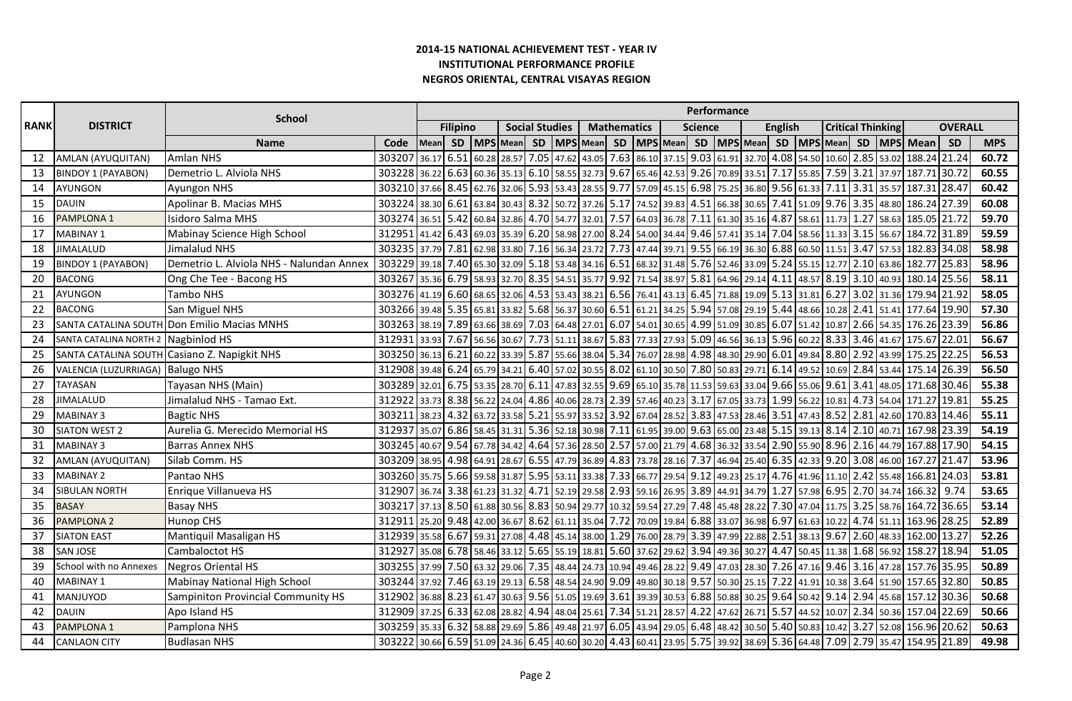|             |                                  | <b>School</b>                                |                                                                                                                           |                                              |                 |                  |                        |                       |                                   |                   |                    |       |                                                                                                         | Performance |  |                        |                |                      |                          |                 |       |                                                                                             |                |            |
|-------------|----------------------------------|----------------------------------------------|---------------------------------------------------------------------------------------------------------------------------|----------------------------------------------|-----------------|------------------|------------------------|-----------------------|-----------------------------------|-------------------|--------------------|-------|---------------------------------------------------------------------------------------------------------|-------------|--|------------------------|----------------|----------------------|--------------------------|-----------------|-------|---------------------------------------------------------------------------------------------|----------------|------------|
| <b>RANK</b> | <b>DISTRICT</b>                  |                                              |                                                                                                                           |                                              | <b>Filipino</b> |                  |                        | <b>Social Studies</b> |                                   |                   | <b>Mathematics</b> |       |                                                                                                         | Science     |  |                        | <b>English</b> |                      | <b>Critical Thinking</b> |                 |       |                                                                                             | <b>OVERALL</b> |            |
|             |                                  | <b>Name</b>                                  | Code                                                                                                                      | Mean                                         |                 |                  | SD   MPS   Mean        | SD                    | MPS Mean                          |                   | SD                 |       | MPS Mean                                                                                                |             |  | SD   MPS   Mean        |                | SD   MPS   Mean   SD |                          |                 |       | MPS Mean                                                                                    | SD             | <b>MPS</b> |
| 12          | AMLAN (AYUQUITAN)                | <b>Amlan NHS</b>                             | 303207                                                                                                                    | 36.17                                        | 6.51            | 60.28            | 28.57                  | 7.05                  |                                   | 47.62 43.05 7.63  |                    |       | 86.10 37.15 9.03 61.91 32.70 4.08 54.50 10.60                                                           |             |  |                        |                |                      |                          | 2.85            | 53.02 | 188.24                                                                                      | 21.24          | 60.72      |
| 13          | <b>BINDOY 1 (PAYABON)</b>        | Demetrio L. Alviola NHS                      | 303228 36.22                                                                                                              |                                              | 6.63            | 60.36            | 35.13                  | 6.10                  | 58.55 32.73 9.67                  |                   |                    |       | 65.46 42.53 9.26 70.89 33.51 7.17 55.85                                                                 |             |  |                        |                |                      |                          | $7.59$ 3.21     | 37.97 | 187.71                                                                                      | 30.72          | 60.55      |
| 14          | <b>AYUNGON</b>                   | Ayungon NHS                                  | 303210 37.66 8.45                                                                                                         |                                              |                 | 62.76 32.06      |                        |                       | 5.93 53.43 28.55 9.77             |                   |                    |       |                                                                                                         |             |  |                        |                |                      |                          |                 |       | 57.09 45.15 6.98 75.25 36.80 9.56 61.33 7.11 3.31 35.57 187.31 28.47                        |                | 60.42      |
| 15          | <b>DAUIN</b>                     | Apolinar B. Macias MHS                       | 303224 38.30 6.61                                                                                                         |                                              |                 | 63.84 30.43      |                        |                       | 8.32 50.72 37.26 5.17             |                   |                    |       |                                                                                                         |             |  |                        |                |                      |                          |                 |       | 74.52 39.83 4.51 66.38 30.65 7.41 51.09 9.76 3.35 48.80 186.24 27.39                        |                | 60.08      |
| 16          | PAMPLONA 1                       | <b>Isidoro Salma MHS</b>                     | 303274 36.51                                                                                                              |                                              | 5.42            |                  |                        |                       | 60.84 32.86 4.70 54.77 32.01 7.57 |                   |                    |       |                                                                                                         |             |  |                        |                |                      |                          |                 |       | 64.03   36.78   7.11   61.30   35.16   4.87   58.61   11.73   1.27   58.63   185.05   21.72 |                | 59.70      |
| 17          | <b>MABINAY 1</b>                 | Mabinay Science High School                  | 312951                                                                                                                    | 41.42                                        | 6.43            |                  | 69.03 35.39            |                       |                                   |                   |                    |       | 6.20 58.98 27.00 8.24 54.00 34.44 9.46 57.41 35.14 7.04 58.56 11.33 3.15 56.67                          |             |  |                        |                |                      |                          |                 |       | 184.72 31.89                                                                                |                | 59.59      |
| 18          | <b>JIMALALUD</b>                 | Jimalalud NHS                                | 303235 37.79 7.81 62.98 33.80 7.16 56.34 23.72 7.73 47.44 39.71 9.55 66.19 36.30 6.88 60.50 11.51 3.47 57.53 182.83 34.08 |                                              |                 |                  |                        |                       |                                   |                   |                    |       |                                                                                                         |             |  |                        |                |                      |                          |                 |       |                                                                                             |                | 58.98      |
| 19          | <b>BINDOY 1 (PAYABON)</b>        | Demetrio L. Alviola NHS - Nalundan Annex     | 303229 39.18 7.40 65.30 32.09                                                                                             |                                              |                 |                  |                        |                       | 5.18 53.48 34.16 6.51             |                   |                    |       | 68.32 31.48 5.76 52.46 33.09 5.24                                                                       |             |  |                        |                | 55.15                | 12.77                    | 2.10            | 63.86 | 182.77 25.83                                                                                |                | 58.96      |
| 20          | <b>BACONG</b>                    | Ong Che Tee - Bacong HS                      | 303267                                                                                                                    | 35.36 6.79                                   |                 |                  | 58.93 32.70 8.35 54.51 |                       |                                   | 35.77 9.92        |                    |       | 71.54 38.97 5.81 64.96 29.14 4.11                                                                       |             |  |                        |                |                      |                          | 48.57 8.19 3.10 | 40.93 | 180.14                                                                                      | 25.56          | 58.11      |
| 21          | <b>AYUNGON</b>                   | Tambo NHS                                    | 303276 41.19 6.60 68.65 32.06 4.53 53.43 38.21 6.56 76.41 43.13 6.45 71.88 19.09 5.13 31.81 6.27                          |                                              |                 |                  |                        |                       |                                   |                   |                    |       |                                                                                                         |             |  |                        |                |                      |                          |                 |       | 3.02 31.36 179.94 21.92                                                                     |                | 58.05      |
| 22          | <b>BACONG</b>                    | San Miguel NHS                               | 303266 39.48 5.35 65.81 33.82 5.68 56.37 30.60 6.51                                                                       |                                              |                 |                  |                        |                       |                                   |                   |                    |       | 61.21 34.25 5.94 57.08 29.19 5.44                                                                       |             |  |                        |                | 48.66 10.28 2.41     |                          |                 |       | 51.41 177.64                                                                                | 19.90          | 57.30      |
| 23          |                                  | SANTA CATALINA SOUTH Don Emilio Macias MNHS  | 303263 38.19                                                                                                              |                                              |                 | 7.89 63.66 38.69 |                        | 7.03                  | 64.48 27.01 6.07                  |                   |                    | 54.01 | 30.65 4.99 51.09                                                                                        |             |  | 30.85                  | 6.07           | 51.42                | 10.87                    | 2.66 54.35      |       | 176.26 23.39                                                                                |                | 56.86      |
| 24          | SANTA CATALINA NORTH 2           | Nagbinlod HS                                 | 312931                                                                                                                    | 33.93                                        | 7.67            | 56.56 30.67      |                        | 7.73                  | 51.11 38.67 5.83                  |                   |                    |       | 77.33 27.93 5.09 46.56                                                                                  |             |  | 36.13 5.96 60.22       |                |                      |                          | 8.33 3.46 41.67 |       | 175.67                                                                                      | 22.01          | 56.67      |
| 25          |                                  | SANTA CATALINA SOUTH Casiano Z. Napigkit NHS | 303250 36.13                                                                                                              |                                              | 6.21            |                  | 60.22 33.39            |                       | 5.87 55.66 38.04 5.34             |                   |                    |       | 76.07 28.98 4.98 48.30 29.90 6.01                                                                       |             |  |                        |                | 49.84 8.80 2.92      |                          |                 | 43.99 | 175.25 22.25                                                                                |                | 56.53      |
| 26          | VALENCIA (LUZURRIAGA) Balugo NHS |                                              | 312908 39.48                                                                                                              |                                              | 6.24            | 65.79 34.21      |                        | 6.40                  | 57.02 30.55 8.02                  |                   |                    |       | 61.10 30.50 7.80 50.83 29.71                                                                            |             |  |                        | 6.14           | 49.52                | 10.69                    | 2.84            | 53.44 | 175.14                                                                                      | 26.39          | 56.50      |
| 27          | <b>TAYASAN</b>                   | Tayasan NHS (Main)                           | 303289 32.01                                                                                                              |                                              | 6.75            |                  | 53.35 28.70            |                       | $6.11$ 47.83 32.55 9.69           |                   |                    |       | 65.10   35.78   11.53   59.63   33.04   9.66   55.06   9.61   3.41                                      |             |  |                        |                |                      |                          |                 | 48.05 | 171.68 30.46                                                                                |                | 55.38      |
| 28          | <b>JIMALALUD</b>                 | Jimalalud NHS - Tamao Ext.                   | 312922 33.73 8.38 56.22 24.04 4.86 40.06 28.73 2.39 57.46 40.23 3.17 67.05 33.73 1.99 56.22 10.81                         |                                              |                 |                  |                        |                       |                                   |                   |                    |       |                                                                                                         |             |  |                        |                |                      |                          |                 |       | 4.73 54.04 171.27 19.81                                                                     |                | 55.25      |
| 29          | <b>MABINAY 3</b>                 | <b>Bagtic NHS</b>                            | 303211                                                                                                                    | 38.23 4.32 63.72 33.58                       |                 |                  |                        |                       | 5.21 55.97 33.52 3.92             |                   |                    |       |                                                                                                         |             |  |                        |                |                      |                          |                 |       | 67.04 28.52 3.83 47.53 28.46 3.51 47.43 8.52 2.81 42.60 170.83 14.46                        |                | 55.11      |
| 30          | <b>SIATON WEST 2</b>             | Aurelia G. Merecido Memorial HS              | 312937 35.07                                                                                                              |                                              |                 | 6.86 58.45 31.31 |                        |                       | 5.36 52.18 30.98 7.11             |                   |                    |       |                                                                                                         |             |  |                        |                |                      |                          |                 |       | 61.95 39.00 9.63 65.00 23.48 5.15 39.13 8.14 2.10 40.71 167.98 23.39                        |                | 54.19      |
| 31          | <b>MABINAY 3</b>                 | <b>Barras Annex NHS</b>                      | 303245 40.67 9.54 67.78 34.42 4.64                                                                                        |                                              |                 |                  |                        |                       |                                   |                   |                    |       |                                                                                                         |             |  |                        |                |                      |                          |                 |       | 57.36 28.50 2.57 37.00 21.79 4.68 36.32 33.54 2.90 55.90 8.96 2.16 44.79 167.88 17.90       |                | 54.15      |
| 32          | AMLAN (AYUQUITAN)                | Silab Comm. HS                               | 303209 38.95 4.98 64.91 28.67                                                                                             |                                              |                 |                  |                        |                       |                                   |                   |                    |       | 6.55   47.79   36.89   4.83   73.78   28.16   7.37   46.94   25.40   6.35   42.33   9.20   3.08         |             |  |                        |                |                      |                          |                 | 46.00 | 167.27 21.47                                                                                |                | 53.96      |
| 33          | <b>MABINAY 2</b>                 | Pantao NHS                                   | 303260 35.75 5.66 59.58 31.87                                                                                             |                                              |                 |                  |                        |                       |                                   |                   |                    |       | 5.95 53.11 33.38 7.33 66.77 29.54 9.12 49.23 25.17 4.76 41.96 11.10                                     |             |  |                        |                |                      |                          | 2.42            | 55.48 | 166.81                                                                                      | 24.03          | 53.81      |
| 34          | SIBULAN NORTH                    | Enrique Villanueva HS                        | 312907 36.74 3.38 61.23 31.32                                                                                             |                                              |                 |                  |                        |                       |                                   |                   |                    |       | 4.71   52.19   29.58   2.93   59.16   26.95   3.89   44.91   34.79   1.27   57.98   6.95   2.70   34.74 |             |  |                        |                |                      |                          |                 |       | 166.32                                                                                      | 9.74           | 53.65      |
| 35          | <b>BASAY</b>                     | <b>Basay NHS</b>                             | 30.217 37.13 8.50 61.88 30.56 8.83 50.94 29.77 10.32 59.54 27.29 7.48 45.48 28.22 7.30 47.04 11.75 3.25                   |                                              |                 |                  |                        |                       |                                   |                   |                    |       |                                                                                                         |             |  |                        |                |                      |                          |                 | 58.76 | 164.72                                                                                      | 36.65          | 53.14      |
| 36          | <b>PAMPLONA 2</b>                | Hunop CHS                                    | 312911                                                                                                                    | 25.20 9.48 42.00 36.67 8.62 61.11 35.04 7.72 |                 |                  |                        |                       |                                   |                   |                    |       | 70.09   19.84   6.88   33.07   36.98   6.97   61.63   10.22                                             |             |  |                        |                |                      |                          | 4.74 51.11      |       | 163.96                                                                                      | 28.25          | 52.89      |
| 37          | <b>SIATON EAST</b>               | Mantiquil Masaligan HS                       | 312939 35.58                                                                                                              |                                              | 6.67            |                  | 59.31 27.08 4.48       |                       | 45.14 38.00 1.29                  |                   |                    |       | 76.00 28.79 3.39 47.99 22.88 2.51 38.13 9.67 2.60                                                       |             |  |                        |                |                      |                          |                 | 48.33 | 162.00                                                                                      | 13.27          | 52.26      |
| 38          | <b>SAN JOSE</b>                  | Cambaloctot HS                               | 312927                                                                                                                    | 35.08                                        | 6.78            | 58.46 33.12      |                        | 5.65                  |                                   |                   |                    |       | 55.19 18.81 5.60 37.62 29.62 3.94                                                                       |             |  | 49.36 30.27 4.47 50.45 |                |                      | 11.38                    | 1.68            | 56.92 | 158.27                                                                                      | 18.94          | 51.05      |
| 39          | School with no Annexes           | <b>Negros Oriental HS</b>                    | 303255                                                                                                                    | 37.99                                        |                 | 7.50 63.32 29.06 |                        | 7.35                  |                                   | 48.44 24.73 10.94 |                    |       | 49.46   28.22   9.49   47.03   28.30   7.26   47.16   9.46   3.16                                       |             |  |                        |                |                      |                          |                 | 47.28 | 157.76 35.95                                                                                |                | 50.89      |
| 40          | MABINAY 1                        | Mabinay National High School                 | 303244                                                                                                                    | 37.92                                        |                 | 7.46 63.19       | 29.13                  | 6.58                  |                                   | 48.54 24.90 9.09  |                    |       | 49.80 30.18 9.57 50.30 25.15                                                                            |             |  |                        | 7.22 41.91     |                      | 10.38                    | 3.64            | 51.90 | 157.65                                                                                      | 32.80          | 50.85      |
| 41          | MANJUYOD                         | <b>Sampiniton Provincial Community HS</b>    | 312902                                                                                                                    | 36.88 8.23                                   |                 |                  | 61.47 30.63            |                       | 9.56 51.05 19.69 3.61             |                   |                    |       | 39.39   30.53   6.88   50.88   30.25   9.64   50.42   9.14   2.94                                       |             |  |                        |                |                      |                          |                 | 45.68 | 157.12                                                                                      | 30.36          | 50.68      |
| 42          | <b>DAUIN</b>                     | Apo Island HS                                | 312909 37.25 6.33 62.08 28.82                                                                                             |                                              |                 |                  |                        | 4.94                  |                                   | 48.04 25.61 7.34  |                    |       |                                                                                                         |             |  |                        |                |                      |                          |                 |       | 51.21 28.57 4.22 47.62 26.71 5.57 44.52 10.07 2.34 50.36 157.04                             | 22.69          | 50.66      |
| 43          | PAMPLONA 1                       | Pamplona NHS                                 | 303259 35.33                                                                                                              |                                              |                 | 6.32 58.88 29.69 |                        | 5.86                  | 49.48 21.97                       |                   | 6.05               |       |                                                                                                         |             |  |                        |                |                      |                          |                 |       | 43.94 29.05 6.48 48.42 30.50 5.40 50.83 10.42 3.27 52.08 156.96 20.62                       |                | 50.63      |
| 44          | <b>CANLAON CITY</b>              | <b>Budlasan NHS</b>                          | 303222 30.66 6.59 51.09 24.36 6.45 40.60 30.20 4.43 60.41 23.95 5.75 39.92 38.69 5.36 64.48 7.09 2.79 35.47 154.95 21.89  |                                              |                 |                  |                        |                       |                                   |                   |                    |       |                                                                                                         |             |  |                        |                |                      |                          |                 |       |                                                                                             |                | 49.98      |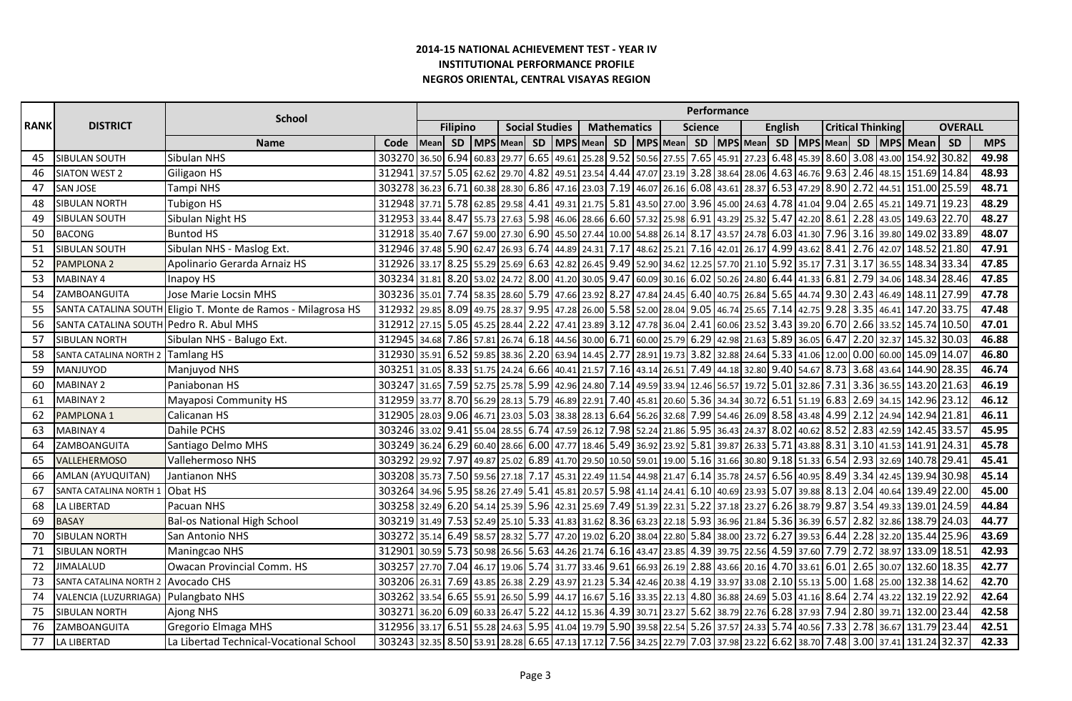|             |                                        | <b>School</b>                                                |                                                                                                                          |            |                 |                  |                  |                       |                                   |                  |                    |       |                                                                                                   |         | <b>Performance</b> |                             |                |                      |                          |                            |       |                                                                                                                   |                |            |
|-------------|----------------------------------------|--------------------------------------------------------------|--------------------------------------------------------------------------------------------------------------------------|------------|-----------------|------------------|------------------|-----------------------|-----------------------------------|------------------|--------------------|-------|---------------------------------------------------------------------------------------------------|---------|--------------------|-----------------------------|----------------|----------------------|--------------------------|----------------------------|-------|-------------------------------------------------------------------------------------------------------------------|----------------|------------|
| <b>RANK</b> | <b>DISTRICT</b>                        |                                                              |                                                                                                                          |            | <b>Filipino</b> |                  |                  | <b>Social Studies</b> |                                   |                  | <b>Mathematics</b> |       |                                                                                                   | Science |                    |                             | <b>English</b> |                      | <b>Critical Thinking</b> |                            |       |                                                                                                                   | <b>OVERALL</b> |            |
|             |                                        | <b>Name</b>                                                  | Code                                                                                                                     | Mean       | <b>SD</b>       |                  | MPS Mean         | SD                    | MPS Mean                          |                  | SD                 |       | MPS Mean                                                                                          |         |                    | SD   MPS   Mean             |                | SD   MPS   Mean   SD |                          |                            |       | MPS Mean                                                                                                          | SD             | <b>MPS</b> |
| 45          | <b>SIBULAN SOUTH</b>                   | <b>Sibulan NHS</b>                                           | 303270                                                                                                                   | 36.50      | 6.94            | 60.83            | 29.77            | 6.65                  | 49.61                             | 25.28 9.52       |                    |       | 50.56 27.55 7.65 45.91 27.23                                                                      |         |                    |                             | 6.48           | 45.39 8.60 3.08      |                          |                            | 43.00 | 154.92                                                                                                            | 30.82          | 49.98      |
| 46          | <b>SIATON WEST 2</b>                   | Giligaon HS                                                  | 312941                                                                                                                   | 37.57 5.05 |                 | 62.62 29.70      |                  | 4.82                  | 49.51                             | 23.54 4.44       |                    |       | 47.07   23.19   3.28   38.64   28.06   4.63   46.76   9.63   2.46                                 |         |                    |                             |                |                      |                          |                            | 48.15 | 151.69 14.84                                                                                                      |                | 48.93      |
| 47          | <b>SAN JOSE</b>                        | Tampi NHS                                                    | 303278 36.23 6.71                                                                                                        |            |                 |                  |                  |                       | 60.38 28.30 6.86 47.16 23.03 7.19 |                  |                    |       |                                                                                                   |         |                    |                             |                |                      |                          |                            |       | 46.07 26.16 6.08 43.61 28.37 6.53 47.29 8.90 2.72 44.51 151.00 25.59                                              |                | 48.71      |
| 48          | <b>SIBULAN NORTH</b>                   | <b>Tubigon HS</b>                                            | 312948 37.71 5.78 62.85 29.58 4.41                                                                                       |            |                 |                  |                  |                       | 49.31 21.75 5.81                  |                  |                    |       |                                                                                                   |         |                    |                             |                |                      |                          |                            |       | 43.50 27.00 3.96 45.00 24.63 4.78 41.04 9.04 2.65 45.21 149.71                                                    | 19.23          | 48.29      |
| 49          | SIBULAN SOUTH                          | Sibulan Night HS                                             | 312953 33.44                                                                                                             |            | 8.47            |                  | 55.73 27.63 5.98 |                       |                                   |                  |                    |       |                                                                                                   |         |                    |                             |                |                      |                          |                            |       | 46.06 28.66 6.60 57.32 25.98 6.91 43.29 25.32 5.47 42.20 8.61 2.28 43.05 149.63 22.70                             |                | 48.27      |
| 50          | <b>BACONG</b>                          | <b>Buntod HS</b>                                             | 312918 35.40 7.67                                                                                                        |            |                 |                  | 59.00 27.30 6.90 |                       |                                   |                  |                    |       | 45.50 27.44 10.00 54.88 26.14 8.17 43.57 24.78 6.03 41.30 7.96 3.16 39.80                         |         |                    |                             |                |                      |                          |                            |       | 149.02 33.89                                                                                                      |                | 48.07      |
| 51          | SIBULAN SOUTH                          | Sibulan NHS - Maslog Ext.                                    | 312946 37.48 5.90 62.47 26.93 6.74 44.89 24.31 7.17                                                                      |            |                 |                  |                  |                       |                                   |                  |                    |       | 48.62 25.21 7.16 42.01 26.17 4.99 43.62 8.41 2.76 42.07                                           |         |                    |                             |                |                      |                          |                            |       | 148.52 21.80                                                                                                      |                | 47.91      |
| 52          | <b>PAMPLONA 2</b>                      | Apolinario Gerarda Arnaiz HS                                 | 312926 33.17                                                                                                             |            | 8.25            | 55.29 25.69      |                  | 6.63                  |                                   |                  |                    |       | 42.82 26.45 9.49 52.90 34.62 12.25 57.70 21.10 5.92                                               |         |                    |                             |                | 35.17                | 7.31                     | 3.17                       | 36.55 | 148.34 33.34                                                                                                      |                | 47.85      |
| 53          | <b>MABINAY 4</b>                       | Inapoy HS                                                    | 303234 31.81                                                                                                             |            |                 | 8.20 53.02 24.72 |                  | 8.00                  | 41.20 30.05 9.47                  |                  |                    |       | 60.09 30.16 6.02 50.26 24.80 6.44                                                                 |         |                    |                             |                | 41.33                | 6.81                     | 2.79                       | 34.06 | 148.34                                                                                                            | 28.46          | 47.85      |
| 54          | ZAMBOANGUITA                           | Jose Marie Locsin MHS                                        | 303236 35.01 7.74                                                                                                        |            |                 |                  | 58.35 28.60 5.79 |                       | 47.66 23.92 8.27                  |                  |                    |       | 47.84   24.45   6.40   40.75   26.84   5.65   44.74   9.30   2.43                                 |         |                    |                             |                |                      |                          |                            | 46.49 | 148.11                                                                                                            | 27.99          | 47.78      |
| 55          |                                        | SANTA CATALINA SOUTH Eligio T. Monte de Ramos - Milagrosa HS | 312932 29.85 8.09 49.75 28.37 9.95 47.28 26.00 5.58 52.00 28.04 9.05 46.74 25.65 7.14                                    |            |                 |                  |                  |                       |                                   |                  |                    |       |                                                                                                   |         |                    |                             |                | 42.75 9.28 3.35      |                          |                            |       | 46.41 147.20 33.75                                                                                                |                | 47.48      |
| 56          | SANTA CATALINA SOUTH Pedro R. Abul MHS |                                                              | 312912                                                                                                                   | 27.15      | 5.05 45.25      |                  | 28.44            | 2.22                  | 47.41                             | 23.89 3.12       |                    |       | 47.78 36.04 2.41 60.06 23.52                                                                      |         |                    |                             | 3.43           | 39.20                |                          | $6.70$ 2.66                | 33.52 | 145.74                                                                                                            | 10.50          | 47.01      |
| 57          | <b>SIBULAN NORTH</b>                   | Sibulan NHS - Balugo Ext.                                    | 312945 34.68                                                                                                             |            |                 | 7.86 57.81 26.74 |                  |                       | 6.18 44.56 30.00 6.71             |                  |                    |       | 60.00 25.79 6.29 42.98 21.63 5.89 36.05                                                           |         |                    |                             |                |                      | 6.47                     | 2.20                       | 32.37 | 145.32                                                                                                            | 30.03          | 46.88      |
| 58          | SANTA CATALINA NORTH 2                 | <b>Tamlang HS</b>                                            | 312930 35.91                                                                                                             |            | 6.52            |                  | 59.85 38.36 2.20 |                       | 63.94 14.45 2.77                  |                  |                    | 28.91 | 19.73                                                                                             |         |                    | 3.82 32.88 24.64 5.33 41.06 |                |                      | 12.00                    | 0.00                       | 60.00 | 145.09 14.07                                                                                                      |                | 46.80      |
| 59          | MANJUYOD                               | Manjuyod NHS                                                 | 303251                                                                                                                   | 31.05 8.33 |                 | 51.75 24.24      |                  | 6.66                  |                                   | 40.41 21.57 7.16 |                    |       | 43.14 26.51 7.49 44.18 32.80 9.40 54.67                                                           |         |                    |                             |                |                      | 8.73                     | 3.68                       | 43.64 | 144.90 28.35                                                                                                      |                | 46.74      |
| 60          | <b>MABINAY 2</b>                       | Paniabonan HS                                                | 303247 31.65 7.59 52.75 25.78                                                                                            |            |                 |                  |                  | 5.99                  | 42.96 24.80 7.14                  |                  |                    |       | 49.59 33.94 12.46 56.57 19.72 5.01                                                                |         |                    |                             |                | 32.86                | 7.31                     | 3.36                       | 36.55 | 143.20 21.63                                                                                                      |                | 46.19      |
| 61          | <b>MABINAY 2</b>                       | Mayaposi Community HS                                        | 312959 33.77 8.70 56.29 28.13 5.79 46.89 22.91 7.40 45.81 20.60 5.36 34.34 30.72 6.51 51.19 6.83 2.69 34.15 142.96 23.12 |            |                 |                  |                  |                       |                                   |                  |                    |       |                                                                                                   |         |                    |                             |                |                      |                          |                            |       |                                                                                                                   |                | 46.12      |
| 62          | <b>PAMPLONA 1</b>                      | Calicanan HS                                                 | 312905 28.03 9.06 46.71 23.03 5.03 38.38 28.13 6.64                                                                      |            |                 |                  |                  |                       |                                   |                  |                    |       | 56.26 32.68 7.99 54.46 26.09 8.58 43.48                                                           |         |                    |                             |                |                      |                          |                            |       | 4.99 2.12 24.94 142.94 21.81                                                                                      |                | 46.11      |
| 63          | <b>MABINAY 4</b>                       | Dahile PCHS                                                  | 303246 33.02 9.41                                                                                                        |            |                 |                  | 55.04 28.55 6.74 |                       |                                   |                  |                    |       |                                                                                                   |         |                    |                             |                |                      |                          |                            |       | 47.59   26.12   7.98   52.24   21.86   5.95   36.43   24.37   8.02   40.62   8.52   2.83   42.59   142.45   33.57 |                | 45.95      |
| 64          | ZAMBOANGUITA                           | Santiago Delmo MHS                                           | 303249 36.24 6.29 60.40 28.66 6.00                                                                                       |            |                 |                  |                  |                       |                                   |                  |                    |       |                                                                                                   |         |                    |                             |                |                      |                          |                            |       | 47.77 18.46 5.49 36.92 23.92 5.81 39.87 26.33 5.71 43.88 8.31 3.10 41.53 141.91 24.31                             |                | 45.78      |
| 65          | <b>VALLEHERMOSO</b>                    | Vallehermoso NHS                                             | 303292 29.92 7.97                                                                                                        |            |                 |                  | 49.87 25.02 6.89 |                       |                                   |                  |                    |       | 41.70   29.50   10.50   59.01   19.00   5.16   31.66   30.80   9.18   51.33   6.54   2.93   32.69 |         |                    |                             |                |                      |                          |                            |       | 140.78 29.41                                                                                                      |                | 45.41      |
| 66          | AMLAN (AYUQUITAN)                      | Jantianon NHS                                                | 303208 35.73 7.50 59.56 27.18 7.17                                                                                       |            |                 |                  |                  |                       |                                   |                  |                    |       | 45.31 22.49 11.54 44.98 21.47 6.14 35.78 24.57 6.56 40.95                                         |         |                    |                             |                |                      |                          | 8.49 3.34                  | 42.45 | 139.94 30.98                                                                                                      |                | 45.14      |
| 67          | SANTA CATALINA NORTH 1                 | Obat HS                                                      | 303264 34.96 5.95 58.26 27.49                                                                                            |            |                 |                  |                  | 5.41                  |                                   |                  |                    |       | 45.81   20.57   5.98   41.14   24.41   6.10   40.69   23.93   5.07   39.88   8.13   2.04          |         |                    |                             |                |                      |                          |                            | 40.64 | 139.49                                                                                                            | 22.00          | 45.00      |
| 68          | LA LIBERTAD                            | Pacuan NHS                                                   | 303258 32.49 6.20 54.14 25.39 5.96 42.31 25.69 7.49 51.39 22.31 5.22 37.18 23.27 6.26 38.79 9.87 3.54                    |            |                 |                  |                  |                       |                                   |                  |                    |       |                                                                                                   |         |                    |                             |                |                      |                          |                            |       | 49.33 139.01                                                                                                      | 24.59          | 44.84      |
| 69          | <b>BASAY</b>                           | <b>Bal-os National High School</b>                           | 303219 31.49 7.53 52.49 25.10 5.33 41.83 31.62 8.36 63.23 22.18 5.93 36.96 21.84 5.36 36.39 6.57 2.82 32.86 138.79 24.03 |            |                 |                  |                  |                       |                                   |                  |                    |       |                                                                                                   |         |                    |                             |                |                      |                          |                            |       |                                                                                                                   |                | 44.77      |
| 70          | <b>SIBULAN NORTH</b>                   | San Antonio NHS                                              | 303272 35.14                                                                                                             |            |                 | 6.49 58.57 28.32 |                  | 5.77                  |                                   |                  |                    |       | 47.20 19.02 6.20 38.04 22.80 5.84 38.00 23.72 6.27 39.53 6.44 2.28 32.20                          |         |                    |                             |                |                      |                          |                            |       | 135.44                                                                                                            | 25.96          | 43.69      |
| 71          | <b>SIBULAN NORTH</b>                   | Maningcao NHS                                                | 312901                                                                                                                   | 30.59      | 5.73            | 50.98            | 26.56 5.63       |                       |                                   |                  |                    |       | 44.26 21.74 6.16 43.47 23.85 4.39 39.75 22.56 4.59 37.60                                          |         |                    |                             |                |                      |                          | 7.79 2.72                  | 38.97 | 133.09                                                                                                            | 18.51          | 42.93      |
| 72          | <b>JIMALALUD</b>                       | Owacan Provincial Comm. HS                                   | 303257                                                                                                                   | 27.70 7.04 |                 | 46.17            | 19.06            | 5.74                  | 31.77 33.46 9.61                  |                  |                    |       | 66.93 26.19 2.88 43.66 20.16                                                                      |         |                    |                             |                |                      |                          | 4.70 33.61 6.01 2.65 30.07 |       | 132.60 18.35                                                                                                      |                | 42.77      |
| 73          | SANTA CATALINA NORTH 2                 | Avocado CHS                                                  | 303206 26.31                                                                                                             |            | 7.69 43.85      |                  | 26.38            | 2.29                  | 43.97 21.23 5.34                  |                  |                    |       | 42.46 20.38                                                                                       |         |                    | 4.19 33.97 33.08            |                | $2.10$ 55.13         | 5.00                     | 1.68 25.00                 |       | 132.38 14.62                                                                                                      |                | 42.70      |
| 74          | VALENCIA (LUZURRIAGA)                  | Pulangbato NHS                                               | 303262 33.54 6.65                                                                                                        |            |                 | 55.91 26.50      |                  | 5.99                  | 44.17 16.67                       |                  |                    |       | 5.16 33.35 22.13 4.80 36.88 24.69 5.03 41.16 8.64                                                 |         |                    |                             |                |                      |                          | 2.74                       | 43.22 | 132.19 22.92                                                                                                      |                | 42.64      |
| 75          | <b>SIBULAN NORTH</b>                   | <b>Ajong NHS</b>                                             | 303271 36.20 6.09 60.33 26.47                                                                                            |            |                 |                  |                  | 5.22                  | 44.12 15.36 4.39                  |                  |                    |       | $30.71$ 23.27 5.62 38.79 22.76 6.28 37.93                                                         |         |                    |                             |                |                      |                          |                            |       | 7.94 2.80 39.71 132.00 23.44                                                                                      |                | 42.58      |
| 76          | ZAMBOANGUITA                           | Gregorio Elmaga MHS                                          | 312956 33.17                                                                                                             |            |                 | 6.51 55.28 24.63 |                  | 5.95                  | 41.04                             |                  |                    |       | 19.79 5.90 39.58 22.54 5.26 37.57 24.33 5.74                                                      |         |                    |                             |                | 40.56                |                          |                            |       | 7.33 2.78 36.67 131.79 23.44                                                                                      |                | 42.51      |
| 77          | LA LIBERTAD                            | La Libertad Technical-Vocational School                      | 303243 32.35 8.50 53.91 28.28 6.65 47.13 17.12 7.56 34.25 22.79 7.03 37.98 23.22 6.62 38.70 7.48 3.00 37.41 131.24 32.37 |            |                 |                  |                  |                       |                                   |                  |                    |       |                                                                                                   |         |                    |                             |                |                      |                          |                            |       |                                                                                                                   |                | 42.33      |